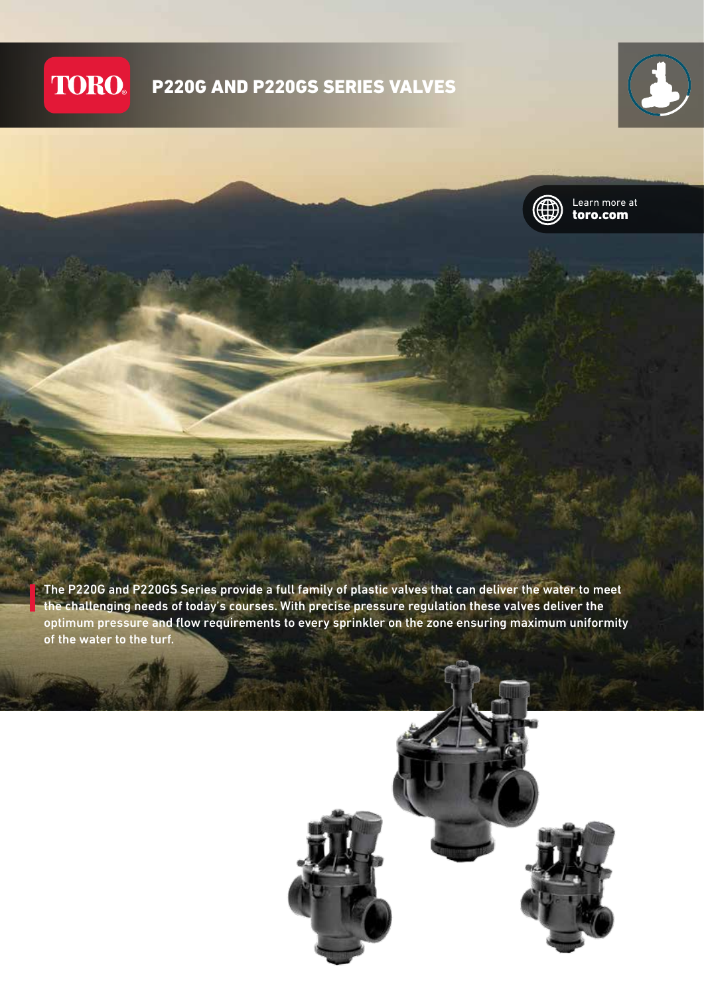## **TORO.** P220G AND P220GS SERIES VALVES





Learn more at toro.com

The P220G and P220GS Series provide a full family of plastic valves that can deliver the water to meet the challenging needs of today's courses. With precise pressure regulation these valves deliver the optimum pressure and flow requirements to every sprinkler on the zone ensuring maximum uniformity of the water to the turf.

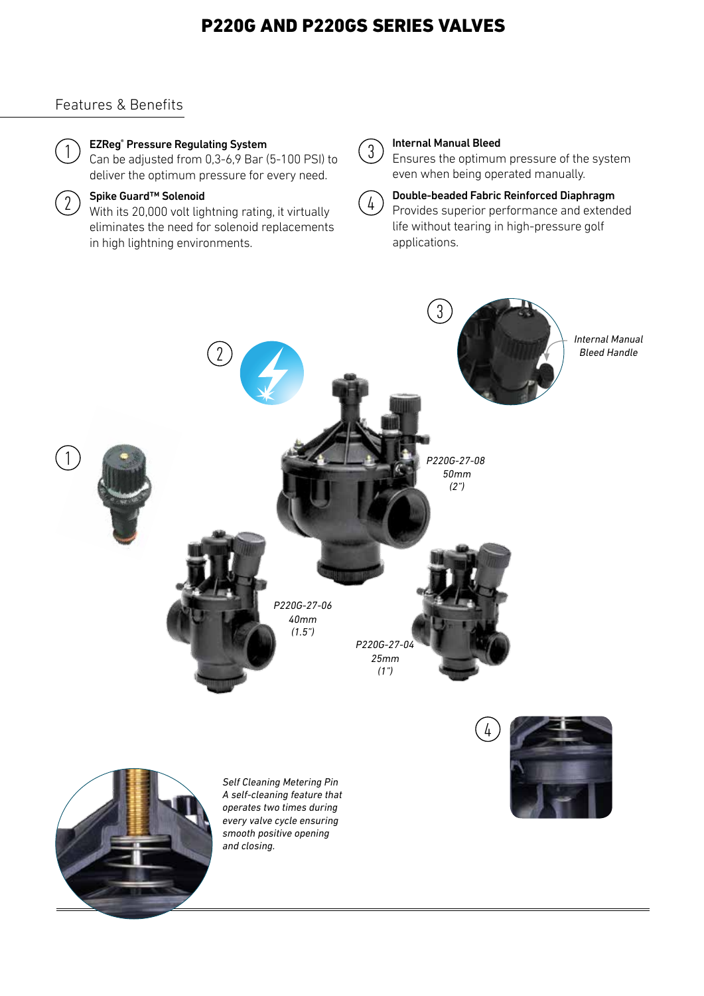# P220G AND P220GS SERIES VALVES

# Features & Benefits



## EZReg® Pressure Regulating System

Can be adjusted from 0,3-6,9 Bar (5-100 PSI) to deliver the optimum pressure for every need.



## Spike Guard™ Solenoid

With its 20,000 volt lightning rating, it virtually eliminates the need for solenoid replacements in high lightning environments.



### Internal Manual Bleed

Ensures the optimum pressure of the system even when being operated manually.

4

## Double-beaded Fabric Reinforced Diaphragm Provides superior performance and extended life without tearing in high-pressure golf applications.

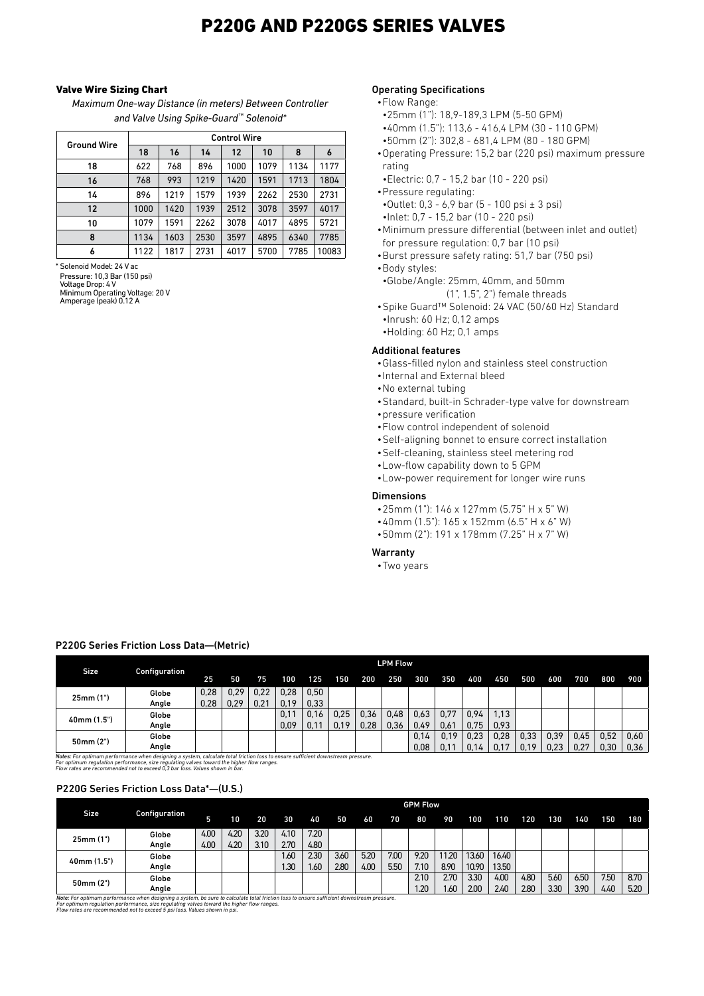# P220G AND P220GS SERIES VALVES

### Valve Wire Sizing Chart

*Maximum One-way Distance (in meters) Between Controller and Valve Using Spike-Guard™ Solenoid\**

| <b>Ground Wire</b> | <b>Control Wire</b> |      |      |                   |      |      |       |  |  |  |  |  |  |  |
|--------------------|---------------------|------|------|-------------------|------|------|-------|--|--|--|--|--|--|--|
|                    | 18                  | 16   | 14   | $12 \overline{ }$ | 10   | 8    | 6     |  |  |  |  |  |  |  |
| 18                 | 622                 | 768  | 896  | 1000              | 1079 | 1134 | 1177  |  |  |  |  |  |  |  |
| 16                 | 768                 | 993  | 1219 | 1420              | 1591 | 1713 | 1804  |  |  |  |  |  |  |  |
| 14                 | 896                 | 1219 | 1579 | 1939              | 2262 | 2530 | 2731  |  |  |  |  |  |  |  |
| 12                 | 1000                | 1420 | 1939 | 2512              | 3078 | 3597 | 4017  |  |  |  |  |  |  |  |
| 10                 | 1079                | 1591 | 2262 | 3078              | 4017 | 4895 | 5721  |  |  |  |  |  |  |  |
| 8                  | 1134                | 1603 | 2530 | 3597              | 4895 | 6340 | 7785  |  |  |  |  |  |  |  |
| 6                  | 1122                | 1817 | 2731 | 4017              | 5700 | 7785 | 10083 |  |  |  |  |  |  |  |

\* Solenoid Model: 24 V ac Pressure: 10,3 Bar (150 psi) Voltage Drop: 4 V Minimum Operating Voltage: 20 V Amperage (peak) 0.12 A

### Operating Specifications

#### •Flow Range:

- •25mm (1"): 18,9-189,3 LPM (5-50 GPM)
- •40mm (1.5"): 113,6 416,4 LPM (30 110 GPM)
- •50mm (2"): 302,8 681,4 LPM (80 180 GPM)
- •Operating Pressure: 15,2 bar (220 psi) maximum pressure rating
- •Electric: 0,7 15,2 bar (10 220 psi)
- •Pressure regulating: •Outlet: 0,3 - 6,9 bar (5 - 100 psi ± 3 psi)
- •Inlet: 0,7 15,2 bar (10 220 psi)
- •Minimum pressure differential (between inlet and outlet) for pressure regulation: 0,7 bar (10 psi)
- •Burst pressure safety rating: 51,7 bar (750 psi)
- •Body styles:
- •Globe/Angle: 25mm, 40mm, and 50mm (1", 1.5", 2") female threads
- •Spike Guard™ Solenoid: 24 VAC (50/60 Hz) Standard •Inrush: 60 Hz; 0,12 amps •Holding: 60 Hz; 0,1 amps

# Additional features

- •Glass-filled nylon and stainless steel construction
- •Internal and External bleed
- •No external tubing
- •Standard, built-in Schrader-type valve for downstream
- •pressure verification
- •Flow control independent of solenoid
- •Self-aligning bonnet to ensure correct installation
- •Self-cleaning, stainless steel metering rod
- •Low-flow capability down to 5 GPM
- •Low-power requirement for longer wire runs

## **Dimensions**

- •25mm (1"): 146 x 127mm (5.75" H x 5" W)
- •40mm (1.5"): 165 x 152mm (6.5" H x 6" W)
- •50mm (2"): 191 x 178mm (7.25" H x 7" W)

#### Warranty

•Two years

### P220G Series Friction Loss Data—(Metric)

|                                                                                                                                                                                                                                                                                                             |               | <b>LPM Flow</b> |      |      |      |      |      |      |      |      |      |      |      |      |      |      |      |      |
|-------------------------------------------------------------------------------------------------------------------------------------------------------------------------------------------------------------------------------------------------------------------------------------------------------------|---------------|-----------------|------|------|------|------|------|------|------|------|------|------|------|------|------|------|------|------|
| Size                                                                                                                                                                                                                                                                                                        | Configuration | 25              | 50   | 75   | 100  | 125  | 150  | 200  | 250  | 300  | 350  | 400  | 450  | 500  | 600  | 700  | 800  | 900  |
| 25mm(1")                                                                                                                                                                                                                                                                                                    | Globe         | 0,28            | 0.29 | 0.22 | 0,28 | 0,50 |      |      |      |      |      |      |      |      |      |      |      |      |
|                                                                                                                                                                                                                                                                                                             | Angle         | 0,28            | 0.29 | 0,21 | 0.19 | 0.33 |      |      |      |      |      |      |      |      |      |      |      |      |
|                                                                                                                                                                                                                                                                                                             | Globe         |                 |      |      | 0,11 | 0.16 | 0.25 | 0.36 | 0,48 | 0,63 | 0.77 | 0.94 | 1,13 |      |      |      |      |      |
| 40mm (1.5")                                                                                                                                                                                                                                                                                                 | Angle         |                 |      |      | 0,09 | 0,11 | 0.19 | 0,28 | 0.36 | 0,49 | 0.61 | 0.75 | 0.93 |      |      |      |      |      |
|                                                                                                                                                                                                                                                                                                             | Globe         |                 |      |      |      |      |      |      |      | 0.14 | 0.19 | 0.23 | 0,28 | 0.33 | 0.39 | 0,45 | 0.52 | 0.60 |
| 50mm(2")                                                                                                                                                                                                                                                                                                    | Angle         |                 |      |      |      |      |      |      |      | 0,08 | 0.11 | 0.14 |      | 0.19 | 0.23 | 0.27 | 0.30 | 0.36 |
| Notes: For optimum performance when designing a system, calculate total friction loss to ensure sufficient downstream pressure.<br>For optimum requlation performance, size requlating valves toward the higher flow ranges.<br>Flow rates are recommended not to exceed 0,3 bar loss. Values shown in bar. |               |                 |      |      |      |      |      |      |      |      |      |      |      |      |      |      |      |      |

### P220G Series Friction Loss Data\*—(U.S.)

|             | Configuration | <b>GPM Flow</b> |      |      |      |      |      |      |      |      |      |       |       |      |      |      |      |      |
|-------------|---------------|-----------------|------|------|------|------|------|------|------|------|------|-------|-------|------|------|------|------|------|
| Size.       |               | 5               | 10   | 20   | 30   | 40   | 50   | 60   | 70   | 80   | 90   | 100   | 110   | 120  | 130  | 140  | 150  | 180  |
| 25mm(1")    | Globe         | 4.00            | 4.20 | 3.20 | 4.10 | 7.20 |      |      |      |      |      |       |       |      |      |      |      |      |
|             | Angle         | 4.00            | 4.20 | 3.10 | 2.70 | 4.80 |      |      |      |      |      |       |       |      |      |      |      |      |
| 40mm (1.5") | Globe         |                 |      |      | 1.60 | 2.30 | 3.60 | 5.20 | 7.00 | 9.20 | 1.20 | 13.60 | 16.40 |      |      |      |      |      |
|             | Angle         |                 |      |      | 1.30 | 1.60 | 2.80 | 4.00 | 5.50 | 7.10 | 8.90 | 10.90 | 13.50 |      |      |      |      |      |
| 50mm(2")    | Globe         |                 |      |      |      |      |      |      |      | 2.10 | 2.70 | 3.30  | 4.00  | 4.80 | 5.60 | 6.50 | 7.50 | 8.70 |
|             | Angle         |                 |      |      |      |      |      |      |      | .20  | .60  | 2.00  | 2.40  | 2.80 | 3.30 | 3.90 | 4.40 | 5.20 |

<mark>Note:</mark> For optimum performance when designing a system, be sure to calculate total friction loss to ensure sufficient downstream pressure.<br>For optimum regulation performance, size regulating valves toward the higher flow